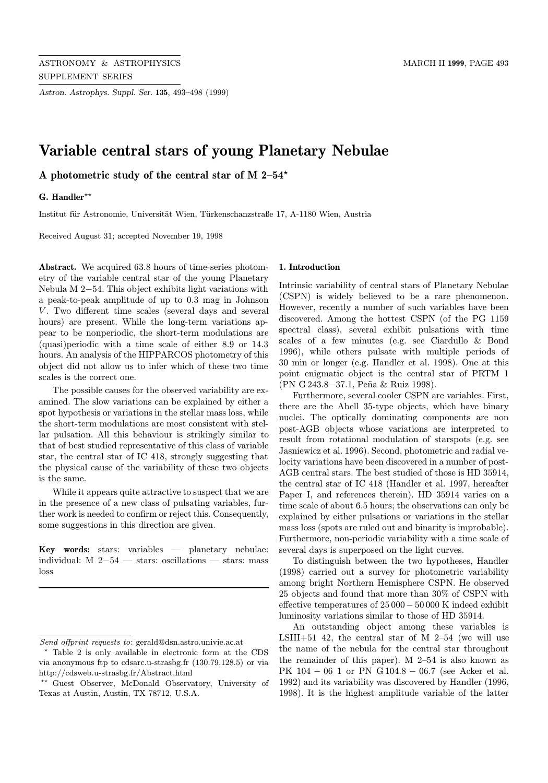Astron. Astrophys. Suppl. Ser. 135, 493–498 (1999)

# Variable central stars of young Planetary Nebulae

A photometric study of the central star of M  $2-54$ <sup>\*</sup>

# G. Handler\*\*

Institut für Astronomie, Universität Wien, Türkenschanzstraße 17, A-1180 Wien, Austria

Received August 31; accepted November 19, 1998

Abstract. We acquired 63.8 hours of time-series photometry of the variable central star of the young Planetary Nebula M 2−54. This object exhibits light variations with a peak-to-peak amplitude of up to 0.3 mag in Johnson V. Two different time scales (several days and several hours) are present. While the long-term variations appear to be nonperiodic, the short-term modulations are (quasi)periodic with a time scale of either 8.9 or 14.3 hours. An analysis of the HIPPARCOS photometry of this object did not allow us to infer which of these two time scales is the correct one.

The possible causes for the observed variability are examined. The slow variations can be explained by either a spot hypothesis or variations in the stellar mass loss, while the short-term modulations are most consistent with stellar pulsation. All this behaviour is strikingly similar to that of best studied representative of this class of variable star, the central star of IC 418, strongly suggesting that the physical cause of the variability of these two objects is the same.

While it appears quite attractive to suspect that we are in the presence of a new class of pulsating variables, further work is needed to confirm or reject this. Consequently, some suggestions in this direction are given.

Key words: stars: variables — planetary nebulae: individual: M 2−54 — stars: oscillations — stars: mass loss

#### 1. Introduction

Intrinsic variability of central stars of Planetary Nebulae (CSPN) is widely believed to be a rare phenomenon. However, recently a number of such variables have been discovered. Among the hottest CSPN (of the PG 1159 spectral class), several exhibit pulsations with time scales of a few minutes (e.g. see Ciardullo & Bond 1996), while others pulsate with multiple periods of 30 min or longer (e.g. Handler et al. 1998). One at this point enigmatic object is the central star of PRTM 1 (PN G 243.8−37.1, Pe˜na & Ruiz 1998).

Furthermore, several cooler CSPN are variables. First, there are the Abell 35-type objects, which have binary nuclei. The optically dominating components are non post-AGB objects whose variations are interpreted to result from rotational modulation of starspots (e.g. see Jasniewicz et al. 1996). Second, photometric and radial velocity variations have been discovered in a number of post-AGB central stars. The best studied of those is HD 35914, the central star of IC 418 (Handler et al. 1997, hereafter Paper I, and references therein). HD 35914 varies on a time scale of about 6.5 hours; the observations can only be explained by either pulsations or variations in the stellar mass loss (spots are ruled out and binarity is improbable). Furthermore, non-periodic variability with a time scale of several days is superposed on the light curves.

To distinguish between the two hypotheses, Handler (1998) carried out a survey for photometric variability among bright Northern Hemisphere CSPN. He observed 25 objects and found that more than 30% of CSPN with effective temperatures of 25 000− 50 000 K indeed exhibit luminosity variations similar to those of HD 35914.

An outstanding object among these variables is LSIII $+51$  42, the central star of M 2–54 (we will use the name of the nebula for the central star throughout the remainder of this paper). M 2–54 is also known as PK 104 − 06 1 or PN G 104.8 − 06.7 (see Acker et al. 1992) and its variability was discovered by Handler (1996, 1998). It is the highest amplitude variable of the latter

Send offprint requests to: gerald@dsn.astro.univie.ac.at

<sup>?</sup> Table 2 is only available in electronic form at the CDS via anonymous ftp to cdsarc.u-strasbg.fr (130.79.128.5) or via http://cdsweb.u-strasbg.fr/Abstract.html

<sup>\*\*</sup> Guest Observer, McDonald Observatory, University of Texas at Austin, Austin, TX 78712, U.S.A.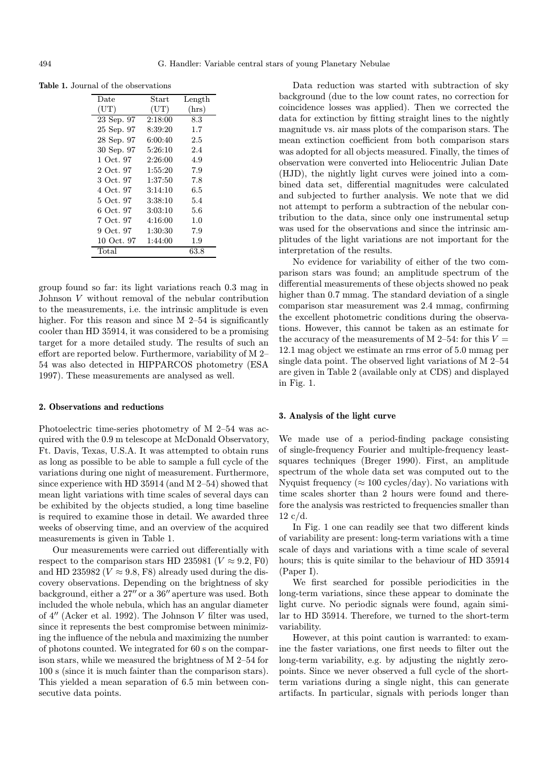Table 1. Journal of the observations

| Date            | Start   | Length |
|-----------------|---------|--------|
| $(\mathrm{UT})$ | (UT)    | (hrs)  |
| 23 Sep. 97      | 2:18:00 | 8.3    |
| 25 Sep. 97      | 8:39:20 | 1.7    |
| 28 Sep. 97      | 6:00:40 | 2.5    |
| 30 Sep. 97      | 5:26:10 | 2.4    |
| 1 Oct. 97       | 2:26:00 | 4.9    |
| 2 Oct. 97       | 1:55:20 | 7.9    |
| 3 Oct. 97       | 1:37:50 | 7.8    |
| 4 Oct. 97       | 3:14:10 | 6.5    |
| 5 Oct. 97       | 3:38:10 | 5.4    |
| 6 Oct. 97       | 3:03:10 | 5.6    |
| 7 Oct. 97       | 4:16:00 | 1.0    |
| 9 Oct. 97       | 1:30:30 | 7.9    |
| 10 Oct. 97      | 1:44:00 | 1.9    |
| Total           |         | 63.8   |

group found so far: its light variations reach 0.3 mag in Johnson V without removal of the nebular contribution to the measurements, i.e. the intrinsic amplitude is even higher. For this reason and since M 2–54 is significantly cooler than HD 35914, it was considered to be a promising target for a more detailed study. The results of such an effort are reported below. Furthermore, variability of M 2– 54 was also detected in HIPPARCOS photometry (ESA 1997). These measurements are analysed as well.

### 2. Observations and reductions

Photoelectric time-series photometry of M 2–54 was acquired with the 0.9 m telescope at McDonald Observatory, Ft. Davis, Texas, U.S.A. It was attempted to obtain runs as long as possible to be able to sample a full cycle of the variations during one night of measurement. Furthermore, since experience with HD 35914 (and M 2–54) showed that mean light variations with time scales of several days can be exhibited by the objects studied, a long time baseline is required to examine those in detail. We awarded three weeks of observing time, and an overview of the acquired measurements is given in Table 1.

Our measurements were carried out differentially with respect to the comparison stars HD 235981 ( $V \approx 9.2$ , F0) and HD 235982 ( $V \approx 9.8$ , F8) already used during the discovery observations. Depending on the brightness of sky background, either a  $27''$  or a  $36''$  aperture was used. Both included the whole nebula, which has an angular diameter of  $4''$  (Acker et al. 1992). The Johnson V filter was used, since it represents the best compromise between minimizing the influence of the nebula and maximizing the number of photons counted. We integrated for 60 s on the comparison stars, while we measured the brightness of M 2–54 for 100 s (since it is much fainter than the comparison stars). This yielded a mean separation of 6.5 min between consecutive data points.

Data reduction was started with subtraction of sky background (due to the low count rates, no correction for coincidence losses was applied). Then we corrected the data for extinction by fitting straight lines to the nightly magnitude vs. air mass plots of the comparison stars. The mean extinction coefficient from both comparison stars was adopted for all objects measured. Finally, the times of observation were converted into Heliocentric Julian Date (HJD), the nightly light curves were joined into a combined data set, differential magnitudes were calculated and subjected to further analysis. We note that we did not attempt to perform a subtraction of the nebular contribution to the data, since only one instrumental setup was used for the observations and since the intrinsic amplitudes of the light variations are not important for the interpretation of the results.

No evidence for variability of either of the two comparison stars was found; an amplitude spectrum of the differential measurements of these objects showed no peak higher than 0.7 mmag. The standard deviation of a single comparison star measurement was 2.4 mmag, confirming the excellent photometric conditions during the observations. However, this cannot be taken as an estimate for the accuracy of the measurements of M 2–54: for this  $V =$ 12.1 mag object we estimate an rms error of 5.0 mmag per single data point. The observed light variations of M 2–54 are given in Table 2 (available only at CDS) and displayed in Fig. 1.

#### 3. Analysis of the light curve

We made use of a period-finding package consisting of single-frequency Fourier and multiple-frequency leastsquares techniques (Breger 1990). First, an amplitude spectrum of the whole data set was computed out to the Nyquist frequency ( $\approx 100$  cycles/day). No variations with time scales shorter than 2 hours were found and therefore the analysis was restricted to frequencies smaller than  $12 \text{ c/d}.$ 

In Fig. 1 one can readily see that two different kinds of variability are present: long-term variations with a time scale of days and variations with a time scale of several hours; this is quite similar to the behaviour of HD 35914 (Paper I).

We first searched for possible periodicities in the long-term variations, since these appear to dominate the light curve. No periodic signals were found, again similar to HD 35914. Therefore, we turned to the short-term variability.

However, at this point caution is warranted: to examine the faster variations, one first needs to filter out the long-term variability, e.g. by adjusting the nightly zeropoints. Since we never observed a full cycle of the shortterm variations during a single night, this can generate artifacts. In particular, signals with periods longer than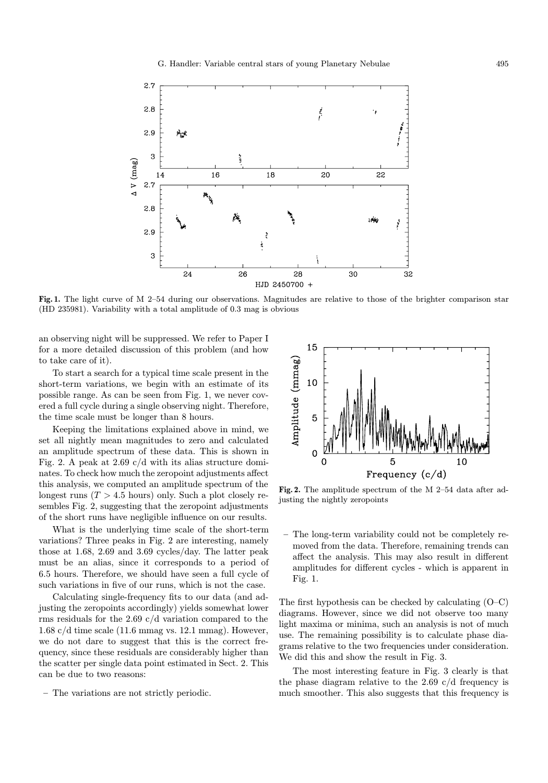

Fig. 1. The light curve of M 2–54 during our observations. Magnitudes are relative to those of the brighter comparison star (HD 235981). Variability with a total amplitude of 0.3 mag is obvious

an observing night will be suppressed. We refer to Paper I for a more detailed discussion of this problem (and how to take care of it).

To start a search for a typical time scale present in the short-term variations, we begin with an estimate of its possible range. As can be seen from Fig. 1, we never covered a full cycle during a single observing night. Therefore, the time scale must be longer than 8 hours.

Keeping the limitations explained above in mind, we set all nightly mean magnitudes to zero and calculated an amplitude spectrum of these data. This is shown in Fig. 2. A peak at 2.69 c/d with its alias structure dominates. To check how much the zeropoint adjustments affect this analysis, we computed an amplitude spectrum of the longest runs  $(T > 4.5$  hours) only. Such a plot closely resembles Fig. 2, suggesting that the zeropoint adjustments of the short runs have negligible influence on our results.

What is the underlying time scale of the short-term variations? Three peaks in Fig. 2 are interesting, namely those at 1.68, 2.69 and 3.69 cycles/day. The latter peak must be an alias, since it corresponds to a period of 6.5 hours. Therefore, we should have seen a full cycle of such variations in five of our runs, which is not the case.

Calculating single-frequency fits to our data (and adjusting the zeropoints accordingly) yields somewhat lower rms residuals for the 2.69 c/d variation compared to the 1.68 c/d time scale (11.6 mmag vs. 12.1 mmag). However, we do not dare to suggest that this is the correct frequency, since these residuals are considerably higher than the scatter per single data point estimated in Sect. 2. This can be due to two reasons:

– The variations are not strictly periodic.



Fig. 2. The amplitude spectrum of the M 2–54 data after adjusting the nightly zeropoints

– The long-term variability could not be completely removed from the data. Therefore, remaining trends can affect the analysis. This may also result in different amplitudes for different cycles - which is apparent in Fig. 1.

The first hypothesis can be checked by calculating (O–C) diagrams. However, since we did not observe too many light maxima or minima, such an analysis is not of much use. The remaining possibility is to calculate phase diagrams relative to the two frequencies under consideration. We did this and show the result in Fig. 3.

The most interesting feature in Fig. 3 clearly is that the phase diagram relative to the 2.69  $c/d$  frequency is much smoother. This also suggests that this frequency is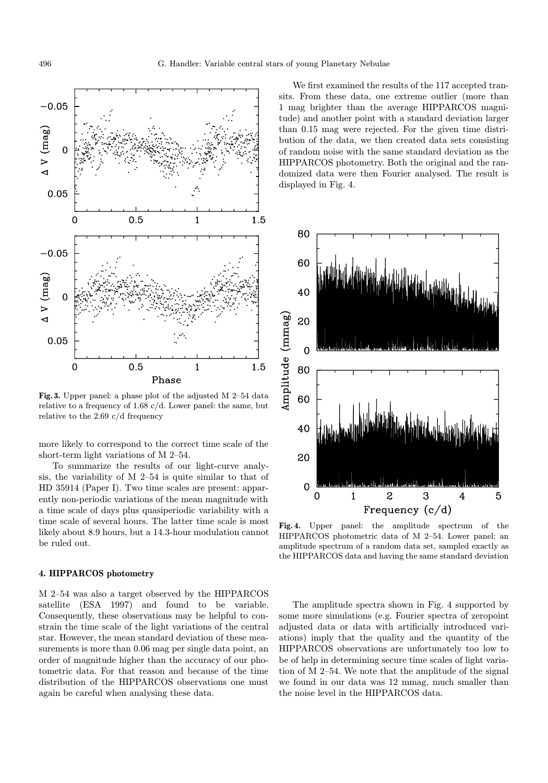

Fig. 3. Upper panel: a phase plot of the adjusted M 2–54 data relative to a frequency of 1.68 c/d. Lower panel: the same, but relative to the 2.69 c/d frequency

more likely to correspond to the correct time scale of the short-term light variations of M 2–54.

To summarize the results of our light-curve analysis, the variability of M 2–54 is quite similar to that of HD 35914 (Paper I). Two time scales are present: apparently non-periodic variations of the mean magnitude with a time scale of days plus quasiperiodic variability with a time scale of several hours. The latter time scale is most likely about 8.9 hours, but a 14.3-hour modulation cannot be ruled out.

## 4. HIPPARCOS photometry

M 2–54 was also a target observed by the HIPPARCOS satellite (ESA 1997) and found to be variable. Consequently, these observations may be helpful to constrain the time scale of the light variations of the central star. However, the mean standard deviation of these measurements is more than 0.06 mag per single data point, an order of magnitude higher than the accuracy of our photometric data. For that reason and because of the time distribution of the HIPPARCOS observations one must again be careful when analysing these data.

We first examined the results of the 117 accepted transits. From these data, one extreme outlier (more than 1 mag brighter than the average HIPPARCOS magnitude) and another point with a standard deviation larger than 0.15 mag were rejected. For the given time distribution of the data, we then created data sets consisting of random noise with the same standard deviation as the HIPPARCOS photometry. Both the original and the randomized data were then Fourier analysed. The result is displayed in Fig. 4.



Fig. 4. Upper panel: the amplitude spectrum of the HIPPARCOS photometric data of M 2–54. Lower panel: an amplitude spectrum of a random data set, sampled exactly as the HIPPARCOS data and having the same standard deviation

The amplitude spectra shown in Fig. 4 supported by some more simulations (e.g. Fourier spectra of zeropoint adjusted data or data with artificially introduced variations) imply that the quality and the quantity of the HIPPARCOS observations are unfortunately too low to be of help in determining secure time scales of light variation of M 2–54. We note that the amplitude of the signal we found in our data was 12 mmag, much smaller than the noise level in the HIPPARCOS data.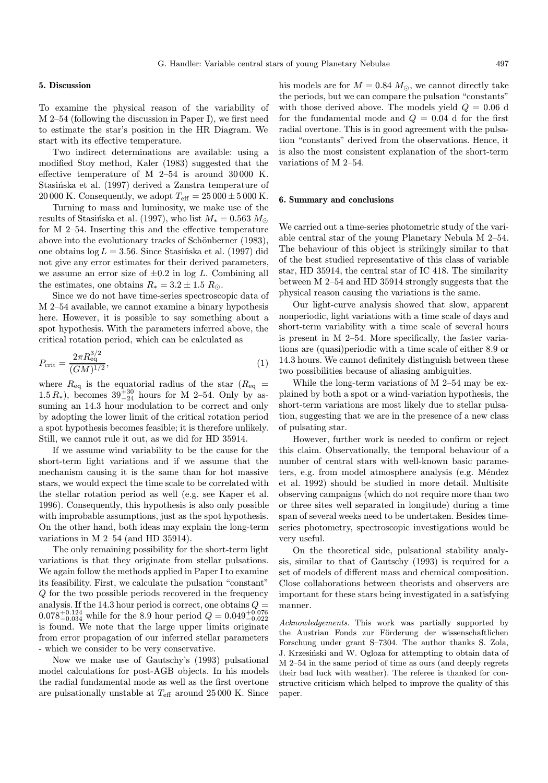#### 5. Discussion

To examine the physical reason of the variability of M 2–54 (following the discussion in Paper I), we first need to estimate the star's position in the HR Diagram. We start with its effective temperature.

Two indirect determinations are available: using a modified Stoy method, Kaler (1983) suggested that the effective temperature of M 2–54 is around 30 000 K. Stasińska et al. (1997) derived a Zanstra temperature of 20 000 K. Consequently, we adopt  $T_{\text{eff}} = 25000 \pm 5000$  K.

Turning to mass and luminosity, we make use of the results of Stasińska et al. (1997), who list  $M_* = 0.563 M_{\odot}$ for M 2–54. Inserting this and the effective temperature above into the evolutionary tracks of Schönberner (1983), one obtains  $log L = 3.56$ . Since Stasinska et al. (1997) did not give any error estimates for their derived parameters, we assume an error size of  $\pm 0.2$  in log L. Combining all the estimates, one obtains  $R_* = 3.2 \pm 1.5 R_{\odot}$ .

Since we do not have time-series spectroscopic data of M 2–54 available, we cannot examine a binary hypothesis here. However, it is possible to say something about a spot hypothesis. With the parameters inferred above, the critical rotation period, which can be calculated as

$$
P_{\rm crit} = \frac{2\pi R_{\rm eq}^{3/2}}{(GM)^{1/2}},\tag{1}
$$

where  $R_{\text{eq}}$  is the equatorial radius of the star  $(R_{\text{eq}} =$ 1.5  $R_*$ ), becomes  $39^{+30}_{-24}$  hours for M 2–54. Only by assuming an 14.3 hour modulation to be correct and only by adopting the lower limit of the critical rotation period a spot hypothesis becomes feasible; it is therefore unlikely. Still, we cannot rule it out, as we did for HD 35914.

If we assume wind variability to be the cause for the short-term light variations and if we assume that the mechanism causing it is the same than for hot massive stars, we would expect the time scale to be correlated with the stellar rotation period as well (e.g. see Kaper et al. 1996). Consequently, this hypothesis is also only possible with improbable assumptions, just as the spot hypothesis. On the other hand, both ideas may explain the long-term variations in M 2–54 (and HD 35914).

The only remaining possibility for the short-term light variations is that they originate from stellar pulsations. We again follow the methods applied in Paper I to examine its feasibility. First, we calculate the pulsation "constant" Q for the two possible periods recovered in the frequency analysis. If the 14.3 hour period is correct, one obtains  $Q =$  $0.078_{-0.034}^{+0.124}$  while for the 8.9 hour period  $Q = 0.049_{-0.022}^{+0.076}$ is found. We note that the large upper limits originate from error propagation of our inferred stellar parameters - which we consider to be very conservative.

Now we make use of Gautschy's (1993) pulsational model calculations for post-AGB objects. In his models the radial fundamental mode as well as the first overtone are pulsationally unstable at  $T_{\text{eff}}$  around 25 000 K. Since

his models are for  $M = 0.84$   $M_{\odot}$ , we cannot directly take the periods, but we can compare the pulsation "constants" with those derived above. The models yield  $Q = 0.06$  d for the fundamental mode and  $Q = 0.04$  d for the first radial overtone. This is in good agreement with the pulsation "constants" derived from the observations. Hence, it is also the most consistent explanation of the short-term variations of M 2–54.

#### 6. Summary and conclusions

We carried out a time-series photometric study of the variable central star of the young Planetary Nebula M 2–54. The behaviour of this object is strikingly similar to that of the best studied representative of this class of variable star, HD 35914, the central star of IC 418. The similarity between M 2–54 and HD 35914 strongly suggests that the physical reason causing the variations is the same.

Our light-curve analysis showed that slow, apparent nonperiodic, light variations with a time scale of days and short-term variability with a time scale of several hours is present in M 2–54. More specifically, the faster variations are (quasi)periodic with a time scale of either 8.9 or 14.3 hours. We cannot definitely distinguish between these two possibilities because of aliasing ambiguities.

While the long-term variations of M 2–54 may be explained by both a spot or a wind-variation hypothesis, the short-term variations are most likely due to stellar pulsation, suggesting that we are in the presence of a new class of pulsating star.

However, further work is needed to confirm or reject this claim. Observationally, the temporal behaviour of a number of central stars with well-known basic parameters, e.g. from model atmosphere analysis (e.g. Méndez et al. 1992) should be studied in more detail. Multisite observing campaigns (which do not require more than two or three sites well separated in longitude) during a time span of several weeks need to be undertaken. Besides timeseries photometry, spectroscopic investigations would be very useful.

On the theoretical side, pulsational stability analysis, similar to that of Gautschy (1993) is required for a set of models of different mass and chemical composition. Close collaborations between theorists and observers are important for these stars being investigated in a satisfying manner.

Acknowledgements. This work was partially supported by the Austrian Fonds zur Förderung der wissenschaftlichen Forschung under grant S–7304. The author thanks S. Zola, J. Krzesiński and W. Ogloza for attempting to obtain data of M 2–54 in the same period of time as ours (and deeply regrets their bad luck with weather). The referee is thanked for constructive criticism which helped to improve the quality of this paper.